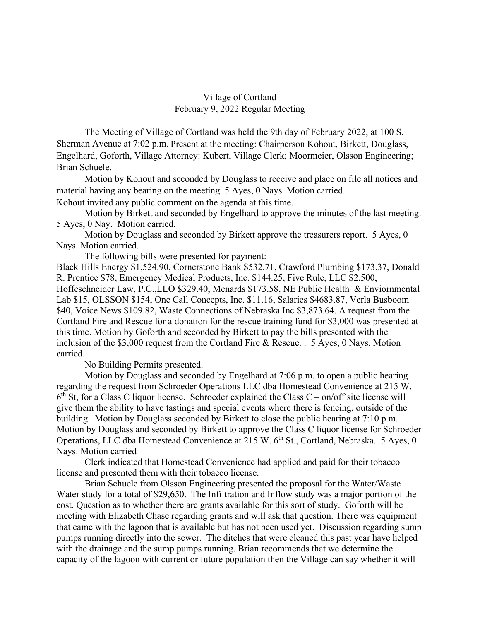## Village of Cortland February 9, 2022 Regular Meeting

The Meeting of Village of Cortland was held the 9th day of February 2022, at 100 S. Sherman Avenue at 7:02 p.m. Present at the meeting: Chairperson Kohout, Birkett, Douglass, Engelhard, Goforth, Village Attorney: Kubert, Village Clerk; Moormeier, Olsson Engineering; Brian Schuele.

Motion by Kohout and seconded by Douglass to receive and place on file all notices and material having any bearing on the meeting. 5 Ayes, 0 Nays. Motion carried. Kohout invited any public comment on the agenda at this time.

Motion by Birkett and seconded by Engelhard to approve the minutes of the last meeting. 5 Ayes, 0 Nay. Motion carried.

Motion by Douglass and seconded by Birkett approve the treasurers report. 5 Ayes, 0 Nays. Motion carried.

The following bills were presented for payment:

Black Hills Energy \$1,524.90, Cornerstone Bank \$532.71, Crawford Plumbing \$173.37, Donald R. Prentice \$78, Emergency Medical Products, Inc. \$144.25, Five Rule, LLC \$2,500, Hoffeschneider Law, P.C.,LLO \$329.40, Menards \$173.58, NE Public Health & Enviornmental Lab \$15, OLSSON \$154, One Call Concepts, Inc. \$11.16, Salaries \$4683.87, Verla Busboom \$40, Voice News \$109.82, Waste Connections of Nebraska Inc \$3,873.64. A request from the Cortland Fire and Rescue for a donation for the rescue training fund for \$3,000 was presented at this time. Motion by Goforth and seconded by Birkett to pay the bills presented with the inclusion of the \$3,000 request from the Cortland Fire & Rescue. . 5 Ayes, 0 Nays. Motion carried.

No Building Permits presented.

Motion by Douglass and seconded by Engelhard at 7:06 p.m. to open a public hearing regarding the request from Schroeder Operations LLC dba Homestead Convenience at 215 W.  $6<sup>th</sup>$  St, for a Class C liquor license. Schroeder explained the Class C – on/off site license will give them the ability to have tastings and special events where there is fencing, outside of the building. Motion by Douglass seconded by Birkett to close the public hearing at 7:10 p.m. Motion by Douglass and seconded by Birkett to approve the Class C liquor license for Schroeder Operations, LLC dba Homestead Convenience at 215 W. 6<sup>th</sup> St., Cortland, Nebraska. 5 Ayes, 0 Nays. Motion carried

 Clerk indicated that Homestead Convenience had applied and paid for their tobacco license and presented them with their tobacco license.

 Brian Schuele from Olsson Engineering presented the proposal for the Water/Waste Water study for a total of \$29,650. The Infiltration and Inflow study was a major portion of the cost. Question as to whether there are grants available for this sort of study. Goforth will be meeting with Elizabeth Chase regarding grants and will ask that question. There was equipment that came with the lagoon that is available but has not been used yet. Discussion regarding sump pumps running directly into the sewer. The ditches that were cleaned this past year have helped with the drainage and the sump pumps running. Brian recommends that we determine the capacity of the lagoon with current or future population then the Village can say whether it will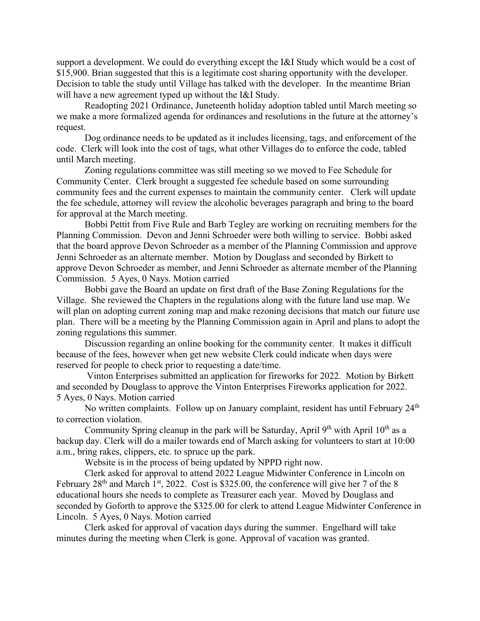support a development. We could do everything except the I&I Study which would be a cost of \$15,900. Brian suggested that this is a legitimate cost sharing opportunity with the developer. Decision to table the study until Village has talked with the developer. In the meantime Brian will have a new agreement typed up without the I&I Study.

 Readopting 2021 Ordinance, Juneteenth holiday adoption tabled until March meeting so we make a more formalized agenda for ordinances and resolutions in the future at the attorney's request.

 Dog ordinance needs to be updated as it includes licensing, tags, and enforcement of the code. Clerk will look into the cost of tags, what other Villages do to enforce the code, tabled until March meeting.

 Zoning regulations committee was still meeting so we moved to Fee Schedule for Community Center. Clerk brought a suggested fee schedule based on some surrounding community fees and the current expenses to maintain the community center. Clerk will update the fee schedule, attorney will review the alcoholic beverages paragraph and bring to the board for approval at the March meeting.

 Bobbi Pettit from Five Rule and Barb Tegley are working on recruiting members for the Planning Commission. Devon and Jenni Schroeder were both willing to service. Bobbi asked that the board approve Devon Schroeder as a member of the Planning Commission and approve Jenni Schroeder as an alternate member. Motion by Douglass and seconded by Birkett to approve Devon Schroeder as member, and Jenni Schroeder as alternate member of the Planning Commission. 5 Ayes, 0 Nays. Motion carried

 Bobbi gave the Board an update on first draft of the Base Zoning Regulations for the Village. She reviewed the Chapters in the regulations along with the future land use map. We will plan on adopting current zoning map and make rezoning decisions that match our future use plan. There will be a meeting by the Planning Commission again in April and plans to adopt the zoning regulations this summer.

 Discussion regarding an online booking for the community center. It makes it difficult because of the fees, however when get new website Clerk could indicate when days were reserved for people to check prior to requesting a date/time.

 Vinton Enterprises submitted an application for fireworks for 2022. Motion by Birkett and seconded by Douglass to approve the Vinton Enterprises Fireworks application for 2022. 5 Ayes, 0 Nays. Motion carried

No written complaints. Follow up on January complaint, resident has until February 24<sup>th</sup> to correction violation.

Community Spring cleanup in the park will be Saturday, April  $9<sup>th</sup>$  with April  $10<sup>th</sup>$  as a backup day. Clerk will do a mailer towards end of March asking for volunteers to start at 10:00 a.m., bring rakes, clippers, etc. to spruce up the park.

Website is in the process of being updated by NPPD right now.

 Clerk asked for approval to attend 2022 League Midwinter Conference in Lincoln on February  $28<sup>th</sup>$  and March  $1<sup>st</sup>$ , 2022. Cost is \$325.00, the conference will give her 7 of the 8 educational hours she needs to complete as Treasurer each year. Moved by Douglass and seconded by Goforth to approve the \$325.00 for clerk to attend League Midwinter Conference in Lincoln. 5 Ayes, 0 Nays. Motion carried

 Clerk asked for approval of vacation days during the summer. Engelhard will take minutes during the meeting when Clerk is gone. Approval of vacation was granted.